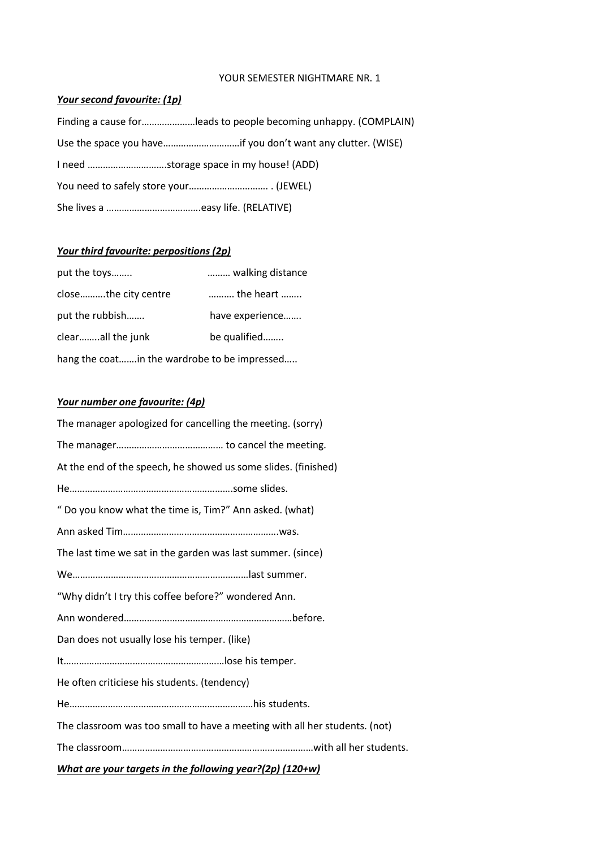#### YOUR SEMESTER NIGHTMARE NR. 1

#### *Your second favourite: (1p)*

| Finding a cause forleads to people becoming unhappy. (COMPLAIN) |
|-----------------------------------------------------------------|
| Use the space you haveif you don't want any clutter. (WISE)     |
|                                                                 |
|                                                                 |
|                                                                 |

# *Your third favourite: perpositions (2p)*

| put the toys                                 | walking distance |  |
|----------------------------------------------|------------------|--|
| closethe city centre                         | the heart        |  |
| put the rubbish                              | have experience  |  |
| clearall the junk                            | be qualified     |  |
| hang the coatin the wardrobe to be impressed |                  |  |

### *Your number one favourite: (4p)*

| The manager apologized for cancelling the meeting. (sorry)                 |  |  |
|----------------------------------------------------------------------------|--|--|
|                                                                            |  |  |
| At the end of the speech, he showed us some slides. (finished)             |  |  |
|                                                                            |  |  |
| " Do you know what the time is, Tim?" Ann asked. (what)                    |  |  |
|                                                                            |  |  |
| The last time we sat in the garden was last summer. (since)                |  |  |
|                                                                            |  |  |
| "Why didn't I try this coffee before?" wondered Ann.                       |  |  |
|                                                                            |  |  |
| Dan does not usually lose his temper. (like)                               |  |  |
|                                                                            |  |  |
| He often criticiese his students. (tendency)                               |  |  |
|                                                                            |  |  |
| The classroom was too small to have a meeting with all her students. (not) |  |  |
|                                                                            |  |  |
| What are your targets in the following year?(2p) (120+w)                   |  |  |